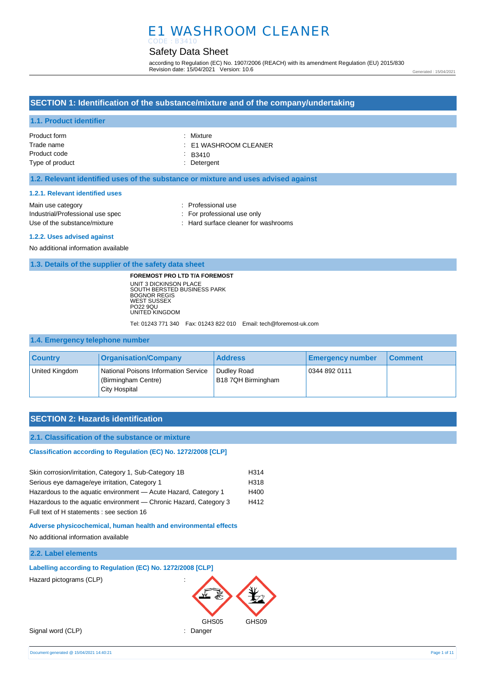# E1 WASHROOM CLEANER CODE : B3410

## Safety Data Sheet

according to Regulation (EC) No. 1907/2006 (REACH) with its amendment Regulation (EU) 2015/830 Revision date: 15/04/2021 Version: 10.6

Generated : 15/04/2021

### **SECTION 1: Identification of the substance/mixture and of the company/undertaking**

### **1.1. Product identifier**

| Product form    | : Mixture                 |
|-----------------|---------------------------|
| Trade name      | $\pm$ E1 WASHROOM CLEANER |
| Product code    | $\therefore$ B3410        |
| Type of product | : Detergent               |

### **1.2. Relevant identified uses of the substance or mixture and uses advised against**

#### **1.2.1. Relevant identified uses**

| Main use category                | : Professional use                   |
|----------------------------------|--------------------------------------|
| Industrial/Professional use spec | : For professional use only          |
| Use of the substance/mixture     | : Hard surface cleaner for washrooms |

#### **1.2.2. Uses advised against**

No additional information available

**1.3. Details of the supplier of the safety data sheet**

**FOREMOST PRO LTD T/A FOREMOST** UNIT 3 DICKINSON PLACE SOUTH BERSTED BUSINESS PARK BOGNOR REGIS WEST SUSSEX PO22 9QU UNITED KINGDOM

Tel: 01243 771 340 Fax: 01243 822 010 Email: tech@foremost-uk.com

#### **1.4. Emergency telephone number**

| <b>Country</b> | <b>Organisation/Company</b>                                                  | <b>Address</b>                    | <b>Emergency number</b> | <b>Comment</b> |
|----------------|------------------------------------------------------------------------------|-----------------------------------|-------------------------|----------------|
| United Kingdom | National Poisons Information Service<br>(Birmingham Centre)<br>City Hospital | Dudlev Road<br>B18 7QH Birmingham | 0344 892 0111           |                |

### **SECTION 2: Hazards identification**

#### **2.1. Classification of the substance or mixture**

**Classification according to Regulation (EC) No. 1272/2008 [CLP]** 

| Skin corrosion/irritation, Category 1, Sub-Category 1B            | H314 |
|-------------------------------------------------------------------|------|
| Serious eye damage/eye irritation, Category 1                     | H318 |
| Hazardous to the aquatic environment - Acute Hazard, Category 1   | H400 |
| Hazardous to the aquatic environment — Chronic Hazard, Category 3 | H412 |
| Full text of H statements : see section 16                        |      |

**Adverse physicochemical, human health and environmental effects**

No additional information available

### **2.2. Label elements**

**Labelling according to Regulation (EC) No. 1272/2008 [CLP]** Hazard pictograms (CLP) :



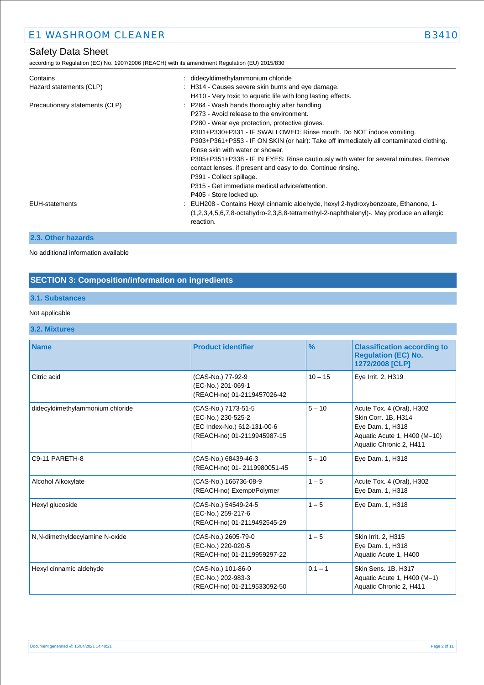according to Regulation (EC) No. 1907/2006 (REACH) with its amendment Regulation (EU) 2015/830

| Contains<br>Hazard statements (CLP) | : didecyldimethylammonium chloride<br>: H314 - Causes severe skin burns and eye damage.<br>H410 - Very toxic to aquatic life with long lasting effects.                                                                                                                                                                                                                                                                                                                                                                               |
|-------------------------------------|---------------------------------------------------------------------------------------------------------------------------------------------------------------------------------------------------------------------------------------------------------------------------------------------------------------------------------------------------------------------------------------------------------------------------------------------------------------------------------------------------------------------------------------|
| Precautionary statements (CLP)      | : P264 - Wash hands thoroughly after handling.<br>P273 - Avoid release to the environment.<br>P280 - Wear eye protection, protective gloves.<br>P301+P330+P331 - IF SWALLOWED: Rinse mouth. Do NOT induce vomiting.<br>P303+P361+P353 - IF ON SKIN (or hair): Take off immediately all contaminated clothing.<br>Rinse skin with water or shower.<br>P305+P351+P338 - IF IN EYES: Rinse cautiously with water for several minutes. Remove<br>contact lenses, if present and easy to do. Continue rinsing.<br>P391 - Collect spillage. |
| <b>EUH-statements</b>               | P315 - Get immediate medical advice/attention.<br>P405 - Store locked up.<br>: EUH208 - Contains Hexyl cinnamic aldehyde, hexyl 2-hydroxybenzoate, Ethanone, 1-<br>$(1,2,3,4,5,6,7,8$ -octahydro-2,3,8,8-tetramethyl-2-naphthalenyl)-. May produce an allergic<br>reaction.                                                                                                                                                                                                                                                           |

### **2.3. Other hazards**

No additional information available

# **SECTION 3: Composition/information on ingredients**

## **3.1. Substances**

### Not applicable

**3.2. Mixtures**

| <b>Name</b>                      | <b>Product identifier</b>                                                                               | $\frac{9}{6}$ | <b>Classification according to</b><br><b>Regulation (EC) No.</b><br>1272/2008 [CLP]                                             |
|----------------------------------|---------------------------------------------------------------------------------------------------------|---------------|---------------------------------------------------------------------------------------------------------------------------------|
| Citric acid                      | (CAS-No.) 77-92-9<br>(EC-No.) 201-069-1<br>(REACH-no) 01-2119457026-42                                  | $10 - 15$     | Eye Irrit. 2, H319                                                                                                              |
| didecyldimethylammonium chloride | (CAS-No.) 7173-51-5<br>(EC-No.) 230-525-2<br>(EC Index-No.) 612-131-00-6<br>(REACH-no) 01-2119945987-15 | $5 - 10$      | Acute Tox. 4 (Oral), H302<br>Skin Corr. 1B, H314<br>Eye Dam. 1, H318<br>Aquatic Acute 1, H400 (M=10)<br>Aquatic Chronic 2, H411 |
| C9-11 PARETH-8                   | (CAS-No.) 68439-46-3<br>(REACH-no) 01-2119980051-45                                                     | $5 - 10$      | Eye Dam. 1, H318                                                                                                                |
| Alcohol Alkoxylate               | (CAS-No.) 166736-08-9<br>(REACH-no) Exempt/Polymer                                                      | $1 - 5$       | Acute Tox. 4 (Oral), H302<br>Eye Dam. 1, H318                                                                                   |
| Hexyl glucoside                  | (CAS-No.) 54549-24-5<br>(EC-No.) 259-217-6<br>(REACH-no) 01-2119492545-29                               | $1 - 5$       | Eye Dam. 1, H318                                                                                                                |
| N,N-dimethyldecylamine N-oxide   | (CAS-No.) 2605-79-0<br>(EC-No.) 220-020-5<br>(REACH-no) 01-2119959297-22                                | $1 - 5$       | Skin Irrit. 2, H315<br>Eye Dam. 1, H318<br>Aquatic Acute 1, H400                                                                |
| Hexyl cinnamic aldehyde          | (CAS-No.) 101-86-0<br>(EC-No.) 202-983-3<br>(REACH-no) 01-2119533092-50                                 | $0.1 - 1$     | Skin Sens. 1B, H317<br>Aquatic Acute 1, H400 (M=1)<br>Aquatic Chronic 2, H411                                                   |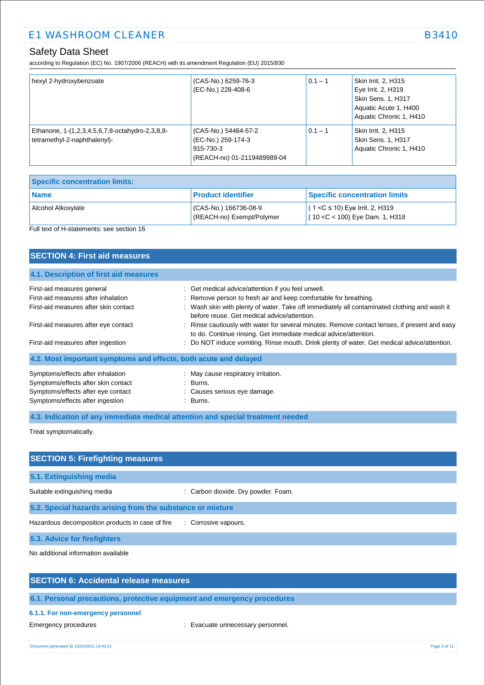according to Regulation (EC) No. 1907/2006 (REACH) with its amendment Regulation (EU) 2015/830

| hexyl 2-hydroxybenzoate                                                         | (CAS-No.) 6259-76-3<br>(EC-No.) 228-408-6                                              | $0.1 - 1$ | Skin Irrit. 2, H315<br>Eye Irrit. 2, H319<br>Skin Sens. 1, H317<br>Aquatic Acute 1, H400<br>Aquatic Chronic 1, H410 |
|---------------------------------------------------------------------------------|----------------------------------------------------------------------------------------|-----------|---------------------------------------------------------------------------------------------------------------------|
| Ethanone, 1-(1,2,3,4,5,6,7,8-octahydro-2,3,8,8-<br>tetramethyl-2-naphthalenyl)- | (CAS-No.) 54464-57-2<br>(EC-No.) 259-174-3<br>915-730-3<br>(REACH-no) 01-2119489989-04 | $0.1 - 1$ | Skin Irrit. 2, H315<br><b>Skin Sens. 1, H317</b><br>Aquatic Chronic 1, H410                                         |

| <b>Specific concentration limits:</b> |                                                   |                                                                          |
|---------------------------------------|---------------------------------------------------|--------------------------------------------------------------------------|
| Name                                  | <b>Product identifier</b>                         | Specific concentration limits                                            |
| <b>Alcohol Alkoxvlate</b>             | CAS-No.) 166736-08-9<br>(REACH-no) Exempt/Polymer | $(1 < C \le 10)$ Eye Irrit. 2, H319<br>$(10 < C < 100)$ Eye Dam. 1, H318 |

## Full text of H-statements: see section 16

| <b>SECTION 4: First aid measures</b>                                                                                                               |                                                                                                                                                                                                                                                                       |
|----------------------------------------------------------------------------------------------------------------------------------------------------|-----------------------------------------------------------------------------------------------------------------------------------------------------------------------------------------------------------------------------------------------------------------------|
| 4.1. Description of first aid measures                                                                                                             |                                                                                                                                                                                                                                                                       |
| First-aid measures general<br>First-aid measures after inhalation<br>First-aid measures after skin contact                                         | : Get medical advice/attention if you feel unwell.<br>: Remove person to fresh air and keep comfortable for breathing.<br>: Wash skin with plenty of water. Take off immediately all contaminated clothing and wash it<br>before reuse. Get medical advice/attention. |
| First-aid measures after eye contact<br>First-aid measures after ingestion                                                                         | : Rinse cautiously with water for several minutes. Remove contact lenses, if present and easy<br>to do. Continue rinsing. Get immediate medical advice/attention.<br>: Do NOT induce vomiting. Rinse mouth. Drink plenty of water. Get medical advice/attention.      |
| 4.2. Most important symptoms and effects, both acute and delayed                                                                                   |                                                                                                                                                                                                                                                                       |
| Symptoms/effects after inhalation<br>Symptoms/effects after skin contact<br>Symptoms/effects after eye contact<br>Symptoms/effects after ingestion | : May cause respiratory irritation.<br>: Burns.<br>: Causes serious eye damage.<br>$\therefore$ Burns.                                                                                                                                                                |

**4.3. Indication of any immediate medical attention and special treatment needed**

Treat symptomatically.

| <b>SECTION 5: Firefighting measures</b>                    |                                     |
|------------------------------------------------------------|-------------------------------------|
| 5.1. Extinguishing media                                   |                                     |
| Suitable extinguishing media                               | : Carbon dioxide. Dry powder. Foam. |
| 5.2. Special hazards arising from the substance or mixture |                                     |
| Hazardous decomposition products in case of fire           | : Corrosive vapours.                |
| 5.3. Advice for firefighters                               |                                     |

No additional information available

**6.1. Personal precautions, protective equipment and emergency procedures**

#### **6.1.1. For non-emergency personnel**

Emergency procedures **in the contract of the Contract Contract Evacuate unnecessary personnel.**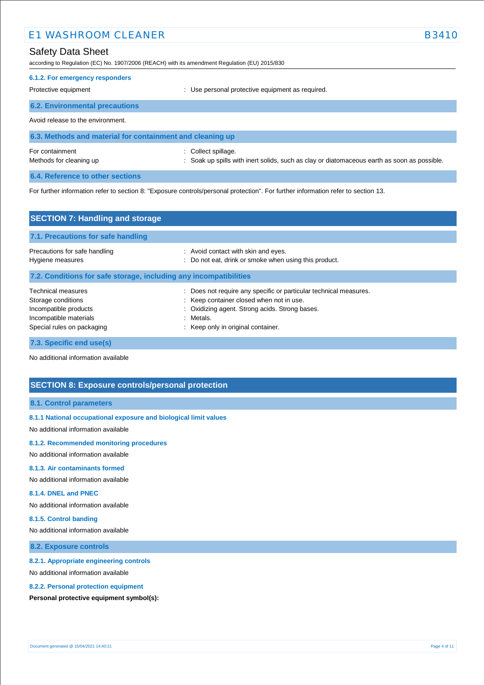### Safety Data Sheet

according to Regulation (EC) No. 1907/2006 (REACH) with its amendment Regulation (EU) 2015/830

| 6.1.2. For emergency responders       |                                                  |
|---------------------------------------|--------------------------------------------------|
| Protective equipment                  | : Use personal protective equipment as required. |
| <b>6.2. Environmental precautions</b> |                                                  |

Avoid release to the environment.

| 6.3. Methods and material for containment and cleaning up |                                                                                             |  |
|-----------------------------------------------------------|---------------------------------------------------------------------------------------------|--|
| For containment                                           | : Collect spillage.                                                                         |  |
| Methods for cleaning up                                   | : Soak up spills with inert solids, such as clay or diatomaceous earth as soon as possible. |  |

**6.4. Reference to other sections**

For further information refer to section 8: "Exposure controls/personal protection". For further information refer to section 13.

| <b>SECTION 7: Handling and storage</b>                                                                                    |                                                                                                                                                                                                                  |  |
|---------------------------------------------------------------------------------------------------------------------------|------------------------------------------------------------------------------------------------------------------------------------------------------------------------------------------------------------------|--|
| 7.1. Precautions for safe handling                                                                                        |                                                                                                                                                                                                                  |  |
| Precautions for safe handling<br>Hygiene measures                                                                         | : Avoid contact with skin and eyes.<br>: Do not eat, drink or smoke when using this product.                                                                                                                     |  |
| 7.2. Conditions for safe storage, including any incompatibilities                                                         |                                                                                                                                                                                                                  |  |
| Technical measures<br>Storage conditions<br>Incompatible products<br>Incompatible materials<br>Special rules on packaging | Does not require any specific or particular technical measures.<br>: Keep container closed when not in use.<br>: Oxidizing agent. Strong acids. Strong bases.<br>: Metals.<br>: Keep only in original container. |  |

**7.3. Specific end use(s)**

No additional information available

## **SECTION 8: Exposure controls/personal protection**

### **8.1. Control parameters**

**8.1.1 National occupational exposure and biological limit values**

No additional information available

#### **8.1.2. Recommended monitoring procedures**

No additional information available

## **8.1.3. Air contaminants formed**

No additional information available

### **8.1.4. DNEL and PNEC**

No additional information available

#### **8.1.5. Control banding**

No additional information available

### **8.2. Exposure controls**

#### **8.2.1. Appropriate engineering controls**

No additional information available

#### **8.2.2. Personal protection equipment**

**Personal protective equipment symbol(s):**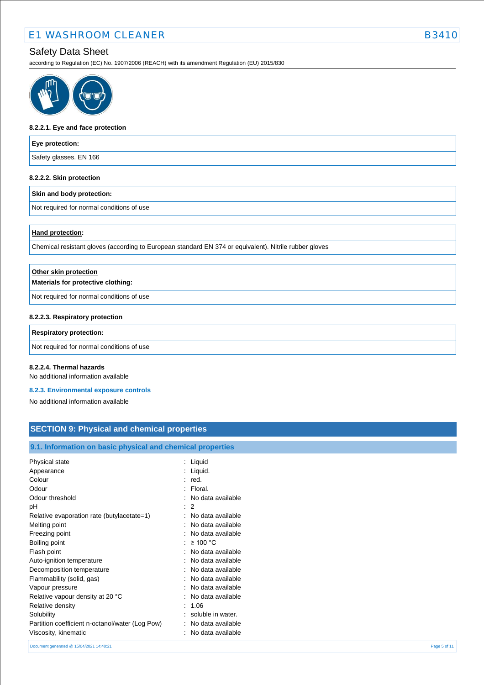# Safety Data Sheet

according to Regulation (EC) No. 1907/2006 (REACH) with its amendment Regulation (EU) 2015/830



#### **8.2.2.1. Eye and face protection**

| Eye protection:        |  |
|------------------------|--|
| Safety glasses. EN 166 |  |
|                        |  |

# **8.2.2.2. Skin protection**

#### **Skin and body protection:**

Not required for normal conditions of use

#### **Hand protection:**

Chemical resistant gloves (according to European standard EN 374 or equivalent). Nitrile rubber gloves

| Other skin protection                     |  |
|-------------------------------------------|--|
| Materials for protective clothing:        |  |
| Not required for normal conditions of use |  |
| 8.2.2.3. Respiratory protection           |  |
| <b>Respiratory protection:</b>            |  |

### Not required for normal conditions of use

#### **8.2.2.4. Thermal hazards**

No additional information available

#### **8.2.3. Environmental exposure controls**

No additional information available

# **SECTION 9: Physical and chemical properties**

### **9.1. Information on basic physical and chemical properties**

| Physical state                                  | : Liquid                       |
|-------------------------------------------------|--------------------------------|
| Appearance                                      | Liquid.                        |
| Colour                                          | red.                           |
| Odour                                           | : Floral.                      |
| Odour threshold                                 | No data available              |
| рH<br>÷                                         | $\mathcal{P}$                  |
| Relative evaporation rate (butylacetate=1)      | No data available              |
| Melting point                                   | No data available              |
| Freezing point                                  | : No data available            |
| Boiling point                                   | $\geq 100$ °C                  |
| Flash point                                     | No data available              |
| Auto-ignition temperature                       | No data available              |
| Decomposition temperature                       | No data available              |
| Flammability (solid, gas)                       | $\therefore$ No data available |
| Vapour pressure                                 | No data available              |
| Relative vapour density at 20 °C                | No data available              |
| Relative density                                | 1.06                           |
| Solubility                                      | soluble in water.              |
| Partition coefficient n-octanol/water (Log Pow) | No data available              |
| Viscosity, kinematic                            | No data available              |

Document generated @ 15/04/2021 14:40:21 Page 5 of 11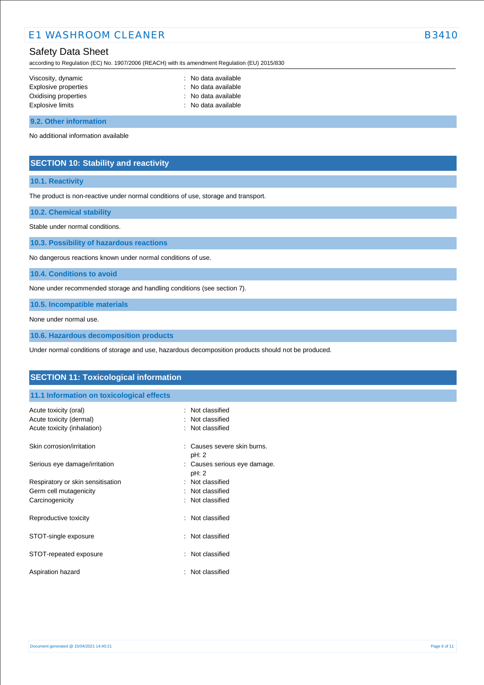## Safety Data Sheet

according to Regulation (EC) No. 1907/2006 (REACH) with its amendment Regulation (EU) 2015/830

| Viscosity, dynamic   | : No data available |
|----------------------|---------------------|
| Explosive properties | : No data available |
| Oxidising properties | : No data available |
| Explosive limits     | : No data available |
|                      |                     |

**9.2. Other information**

No additional information available

### **SECTION 10: Stability and reactivity**

### **10.1. Reactivity**

The product is non-reactive under normal conditions of use, storage and transport.

**10.2. Chemical stability**

Stable under normal conditions.

**10.3. Possibility of hazardous reactions**

No dangerous reactions known under normal conditions of use.

**10.4. Conditions to avoid**

None under recommended storage and handling conditions (see section 7).

**10.5. Incompatible materials**

None under normal use.

**10.6. Hazardous decomposition products**

Under normal conditions of storage and use, hazardous decomposition products should not be produced.

| <b>SECTION 11: Toxicological information</b>                                    |                                                         |  |
|---------------------------------------------------------------------------------|---------------------------------------------------------|--|
| 11.1 Information on toxicological effects                                       |                                                         |  |
| Acute toxicity (oral)<br>Acute toxicity (dermal)<br>Acute toxicity (inhalation) | Not classified<br>Not classified<br>Not classified<br>÷ |  |
| Skin corrosion/irritation                                                       | Causes severe skin burns.<br>pH: 2                      |  |
| Serious eye damage/irritation                                                   | : Causes serious eye damage.<br>pH: 2                   |  |
| Respiratory or skin sensitisation<br>Germ cell mutagenicity                     | Not classified<br>÷<br>Not classified                   |  |
| Carcinogenicity                                                                 | Not classified                                          |  |
| Reproductive toxicity                                                           | : Not classified                                        |  |
| STOT-single exposure                                                            | Not classified<br>٠                                     |  |
| STOT-repeated exposure                                                          | Not classified<br>÷                                     |  |
| Aspiration hazard                                                               | Not classified<br>٠                                     |  |
|                                                                                 |                                                         |  |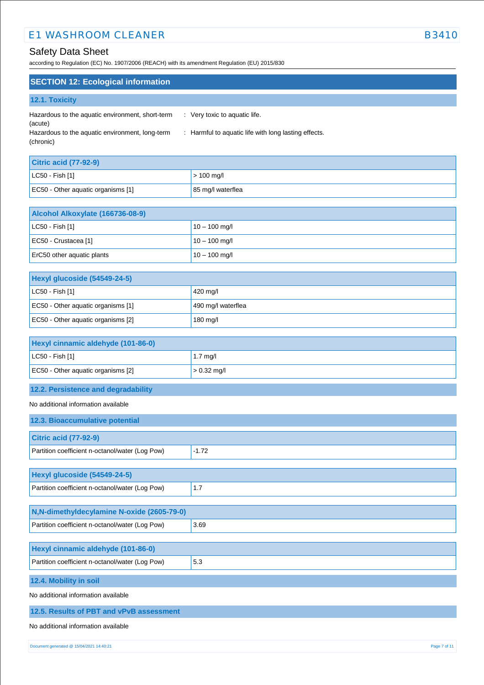# Safety Data Sheet

according to Regulation (EC) No. 1907/2006 (REACH) with its amendment Regulation (EU) 2015/830

# **SECTION 12: Ecological information**

| 12.1. Toxicity |  |  |  |
|----------------|--|--|--|
|                |  |  |  |

| Hazardous to the aquatic environment, short-term | $\therefore$ Very toxic to aquatic life.             |
|--------------------------------------------------|------------------------------------------------------|
| (acute)                                          |                                                      |
| Hazardous to the aquatic environment, long-term  | : Harmful to aquatic life with long lasting effects. |
| (chronic)                                        |                                                      |

| <b>Citric acid (77-92-9)</b>       |                   |  |
|------------------------------------|-------------------|--|
| LC50 - Fish [1]                    | $> 100$ mg/l      |  |
| EC50 - Other aquatic organisms [1] | 85 mg/l waterflea |  |

| Alcohol Alkoxylate (166736-08-9) |                 |  |
|----------------------------------|-----------------|--|
| $ $ LC50 - Fish [1]              | $10 - 100$ mg/l |  |
| EC50 - Crustacea [1]             | $10 - 100$ mg/l |  |
| ErC50 other aquatic plants       | $10 - 100$ mg/l |  |

| Hexyl glucoside (54549-24-5)       |                    |
|------------------------------------|--------------------|
| $ $ LC50 - Fish [1]                | 420 mg/l           |
| EC50 - Other aquatic organisms [1] | 490 mg/l waterflea |
| EC50 - Other aquatic organisms [2] | 180 mg/l           |

| Hexyl cinnamic aldehyde (101-86-0) |                    |
|------------------------------------|--------------------|
| $ $ LC50 - Fish [1]                | $1.7 \text{ mq/l}$ |
| EC50 - Other aquatic organisms [2] | $> 0.32$ mg/l      |

## **12.2. Persistence and degradability**

No additional information available

| 12.3. Bioaccumulative potential                 |         |  |
|-------------------------------------------------|---------|--|
| <b>Citric acid (77-92-9)</b>                    |         |  |
| Partition coefficient n-octanol/water (Log Pow) | $-1.72$ |  |
|                                                 |         |  |
| Hexyl glucoside (54549-24-5)                    |         |  |
| Partition coefficient n-octanol/water (Log Pow) | 1.7     |  |
|                                                 |         |  |
| N,N-dimethyldecylamine N-oxide (2605-79-0)      |         |  |
| Partition coefficient n-octanol/water (Log Pow) | 3.69    |  |
|                                                 |         |  |
| Hexyl cinnamic aldehyde (101-86-0)              |         |  |
| Partition coefficient n-octanol/water (Log Pow) | 5.3     |  |
| 12.4. Mobility in soil                          |         |  |
| No additional information available             |         |  |
| 12.5. Results of PBT and vPvB assessment        |         |  |

No additional information available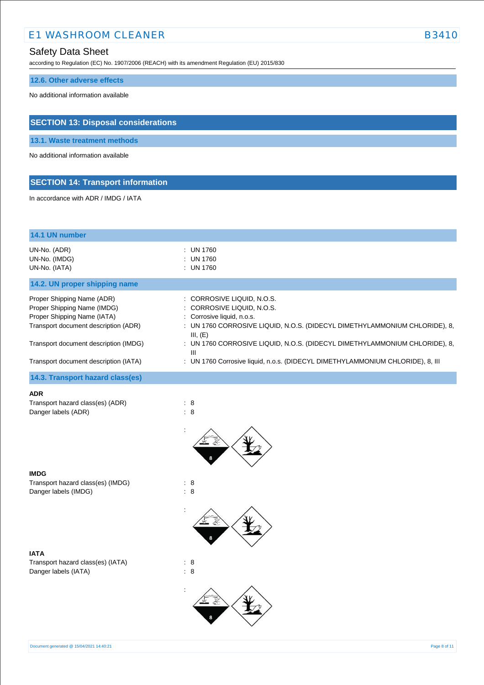## Safety Data Sheet

according to Regulation (EC) No. 1907/2006 (REACH) with its amendment Regulation (EU) 2015/830

## **12.6. Other adverse effects**

No additional information available

## **SECTION 13: Disposal considerations**

**13.1. Waste treatment methods**

No additional information available

# **SECTION 14: Transport information**

In accordance with ADR / IMDG / IATA

| 14.1 UN number                                                                                                                                                                                                     |                                                                                                                                                                                                                                                                                                                                                       |
|--------------------------------------------------------------------------------------------------------------------------------------------------------------------------------------------------------------------|-------------------------------------------------------------------------------------------------------------------------------------------------------------------------------------------------------------------------------------------------------------------------------------------------------------------------------------------------------|
| UN-No. (ADR)<br>UN-No. (IMDG)<br>UN-No. (IATA)                                                                                                                                                                     | : UN 1760<br>: UN 1760<br>: UN 1760                                                                                                                                                                                                                                                                                                                   |
| 14.2. UN proper shipping name                                                                                                                                                                                      |                                                                                                                                                                                                                                                                                                                                                       |
| Proper Shipping Name (ADR)<br>Proper Shipping Name (IMDG)<br>Proper Shipping Name (IATA)<br>Transport document description (ADR)<br>Transport document description (IMDG)<br>Transport document description (IATA) | : CORROSIVE LIQUID, N.O.S.<br>: CORROSIVE LIQUID, N.O.S.<br>: Corrosive liquid, n.o.s.<br>: UN 1760 CORROSIVE LIQUID, N.O.S. (DIDECYL DIMETHYLAMMONIUM CHLORIDE), 8,<br>III, (E)<br>: UN 1760 CORROSIVE LIQUID, N.O.S. (DIDECYL DIMETHYLAMMONIUM CHLORIDE), 8,<br>Ш<br>: UN 1760 Corrosive liquid, n.o.s. (DIDECYL DIMETHYLAMMONIUM CHLORIDE), 8, III |
| 14.3. Transport hazard class(es)                                                                                                                                                                                   |                                                                                                                                                                                                                                                                                                                                                       |
| ADR<br>Transport hazard class(es) (ADR)<br>Danger labels (ADR)                                                                                                                                                     | $\therefore$ 8<br>: 8                                                                                                                                                                                                                                                                                                                                 |
| <b>IMDG</b><br>Transport hazard class(es) (IMDG)<br>Danger labels (IMDG)                                                                                                                                           | $\therefore$ 8<br>: 8                                                                                                                                                                                                                                                                                                                                 |
| IATA<br>Transport hazard class(es) (IATA)<br>Danger labels (IATA)                                                                                                                                                  | $\therefore$ 8<br>$\therefore$ 8                                                                                                                                                                                                                                                                                                                      |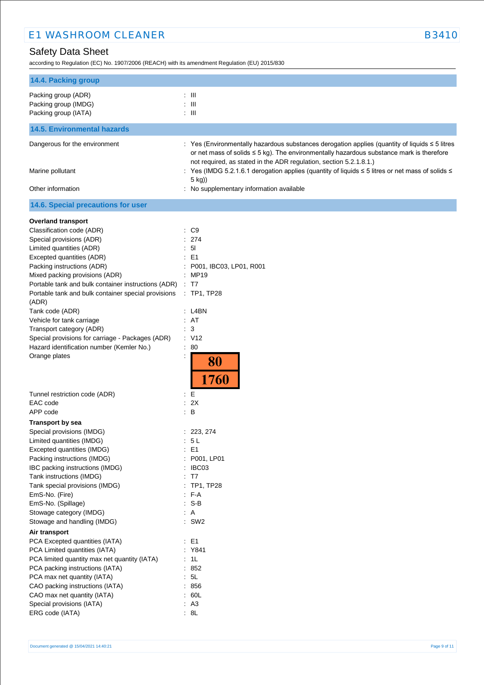according to Regulation (EC) No. 1907/2006 (REACH) with its amendment Regulation (EU) 2015/830

| 14.4. Packing group                                                 |                                                                                                                                                                                                                                                                                                                                                                           |  |  |
|---------------------------------------------------------------------|---------------------------------------------------------------------------------------------------------------------------------------------------------------------------------------------------------------------------------------------------------------------------------------------------------------------------------------------------------------------------|--|--|
| Packing group (ADR)<br>Packing group (IMDG)<br>Packing group (IATA) | : III<br>$\therefore$ III<br>$: \mathbb{H}$                                                                                                                                                                                                                                                                                                                               |  |  |
| <b>14.5. Environmental hazards</b>                                  |                                                                                                                                                                                                                                                                                                                                                                           |  |  |
|                                                                     |                                                                                                                                                                                                                                                                                                                                                                           |  |  |
| Dangerous for the environment<br>Marine pollutant                   | : Yes (Environmentally hazardous substances derogation applies (quantity of liquids ≤ 5 litres<br>or net mass of solids $\leq$ 5 kg). The environmentally hazardous substance mark is therefore<br>not required, as stated in the ADR regulation, section 5.2.1.8.1.)<br>: Yes (IMDG 5.2.1.6.1 derogation applies (quantity of liquids ≤ 5 litres or net mass of solids ≤ |  |  |
| Other information                                                   | 5 kg))<br>: No supplementary information available                                                                                                                                                                                                                                                                                                                        |  |  |
| 14.6. Special precautions for user                                  |                                                                                                                                                                                                                                                                                                                                                                           |  |  |
| <b>Overland transport</b>                                           |                                                                                                                                                                                                                                                                                                                                                                           |  |  |
| Classification code (ADR)                                           | $\therefore$ C9                                                                                                                                                                                                                                                                                                                                                           |  |  |
| Special provisions (ADR)                                            | : 274                                                                                                                                                                                                                                                                                                                                                                     |  |  |
| Limited quantities (ADR)                                            | : 51                                                                                                                                                                                                                                                                                                                                                                      |  |  |
| Excepted quantities (ADR)                                           | $\therefore$ E1                                                                                                                                                                                                                                                                                                                                                           |  |  |
| Packing instructions (ADR)                                          | : P001, IBC03, LP01, R001                                                                                                                                                                                                                                                                                                                                                 |  |  |
| Mixed packing provisions (ADR)                                      | : MP19                                                                                                                                                                                                                                                                                                                                                                    |  |  |
| Portable tank and bulk container instructions (ADR)                 | $\therefore$ T7                                                                                                                                                                                                                                                                                                                                                           |  |  |
| Portable tank and bulk container special provisions                 | : TP1, TP28                                                                                                                                                                                                                                                                                                                                                               |  |  |
| (ADR)                                                               |                                                                                                                                                                                                                                                                                                                                                                           |  |  |
| Tank code (ADR)                                                     | : L4BN                                                                                                                                                                                                                                                                                                                                                                    |  |  |
| Vehicle for tank carriage                                           | : AT                                                                                                                                                                                                                                                                                                                                                                      |  |  |
| Transport category (ADR)                                            | : 3                                                                                                                                                                                                                                                                                                                                                                       |  |  |
| Special provisions for carriage - Packages (ADR)                    | : V12                                                                                                                                                                                                                                                                                                                                                                     |  |  |
| Hazard identification number (Kemler No.)                           | $\therefore 80$                                                                                                                                                                                                                                                                                                                                                           |  |  |
| Orange plates                                                       | $\ddot{\phantom{a}}$<br>80<br>1760                                                                                                                                                                                                                                                                                                                                        |  |  |
| Tunnel restriction code (ADR)                                       | : E                                                                                                                                                                                                                                                                                                                                                                       |  |  |
| EAC code                                                            | : 2X                                                                                                                                                                                                                                                                                                                                                                      |  |  |
| APP code                                                            | $\therefore$ B                                                                                                                                                                                                                                                                                                                                                            |  |  |
| <b>Transport by sea</b>                                             |                                                                                                                                                                                                                                                                                                                                                                           |  |  |
| Special provisions (IMDG)                                           | : 223, 274                                                                                                                                                                                                                                                                                                                                                                |  |  |
| Limited quantities (IMDG)                                           | 5 L                                                                                                                                                                                                                                                                                                                                                                       |  |  |
| Excepted quantities (IMDG)                                          | : E1                                                                                                                                                                                                                                                                                                                                                                      |  |  |
| Packing instructions (IMDG)                                         | : P001, LP01                                                                                                                                                                                                                                                                                                                                                              |  |  |
| IBC packing instructions (IMDG)                                     | : IBC03                                                                                                                                                                                                                                                                                                                                                                   |  |  |
| Tank instructions (IMDG)                                            | : T7                                                                                                                                                                                                                                                                                                                                                                      |  |  |
| Tank special provisions (IMDG)                                      | : TP1, TP28                                                                                                                                                                                                                                                                                                                                                               |  |  |
| EmS-No. (Fire)                                                      | $F-A$                                                                                                                                                                                                                                                                                                                                                                     |  |  |
| EmS-No. (Spillage)                                                  | $: S-B$                                                                                                                                                                                                                                                                                                                                                                   |  |  |
| Stowage category (IMDG)                                             | : A                                                                                                                                                                                                                                                                                                                                                                       |  |  |
| Stowage and handling (IMDG)                                         | $:$ SW2                                                                                                                                                                                                                                                                                                                                                                   |  |  |
| Air transport                                                       |                                                                                                                                                                                                                                                                                                                                                                           |  |  |
| PCA Excepted quantities (IATA)                                      | $\therefore$ E1                                                                                                                                                                                                                                                                                                                                                           |  |  |
| PCA Limited quantities (IATA)                                       | : Y841                                                                                                                                                                                                                                                                                                                                                                    |  |  |
| PCA limited quantity max net quantity (IATA)                        | : 1L                                                                                                                                                                                                                                                                                                                                                                      |  |  |
| PCA packing instructions (IATA)                                     | : 852                                                                                                                                                                                                                                                                                                                                                                     |  |  |
| PCA max net quantity (IATA)                                         | : 5L                                                                                                                                                                                                                                                                                                                                                                      |  |  |
| CAO packing instructions (IATA)                                     | : 856                                                                                                                                                                                                                                                                                                                                                                     |  |  |
|                                                                     | : 60L                                                                                                                                                                                                                                                                                                                                                                     |  |  |
| CAO max net quantity (IATA)<br>Special provisions (IATA)            | : A3                                                                                                                                                                                                                                                                                                                                                                      |  |  |
| ERG code (IATA)                                                     | : 8L                                                                                                                                                                                                                                                                                                                                                                      |  |  |
|                                                                     |                                                                                                                                                                                                                                                                                                                                                                           |  |  |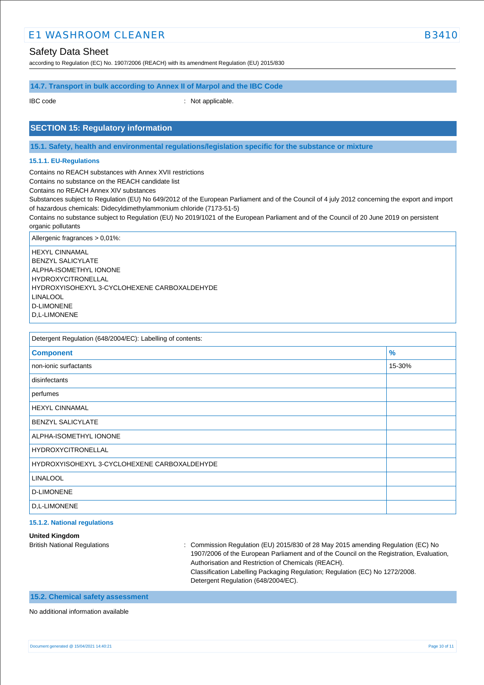### Safety Data Sheet

according to Regulation (EC) No. 1907/2006 (REACH) with its amendment Regulation (EU) 2015/830

### **14.7. Transport in bulk according to Annex II of Marpol and the IBC Code**

IBC code : Not applicable.

### **SECTION 15: Regulatory information**

**15.1. Safety, health and environmental regulations/legislation specific for the substance or mixture**

#### **15.1.1. EU-Regulations**

Contains no REACH substances with Annex XVII restrictions

Contains no substance on the REACH candidate list

Contains no REACH Annex XIV substances

Substances subject to Regulation (EU) No 649/2012 of the European Parliament and of the Council of 4 july 2012 concerning the export and import of hazardous chemicals: Didecyldimethylammonium chloride (7173-51-5)

Contains no substance subject to Regulation (EU) No 2019/1021 of the European Parliament and of the Council of 20 June 2019 on persistent organic pollutants

Allergenic fragrances > 0,01%:

HEXYL CINNAMAL BENZYL SALICYLATE ALPHA-ISOMETHYL IONONE HYDROXYCITRONELLAL HYDROXYISOHEXYL 3-CYCLOHEXENE CARBOXALDEHYDE LINALOOL D-LIMONENE D,L-LIMONENE

Detergent Regulation (648/2004/EC): Labelling of contents:

| <b>Component</b>                             | $\frac{9}{6}$ |  |
|----------------------------------------------|---------------|--|
| non-ionic surfactants                        | 15-30%        |  |
| disinfectants                                |               |  |
| perfumes                                     |               |  |
| <b>HEXYL CINNAMAL</b>                        |               |  |
| <b>BENZYL SALICYLATE</b>                     |               |  |
| ALPHA-ISOMETHYL IONONE                       |               |  |
| <b>HYDROXYCITRONELLAL</b>                    |               |  |
| HYDROXYISOHEXYL 3-CYCLOHEXENE CARBOXALDEHYDE |               |  |
| <b>LINALOOL</b>                              |               |  |
| <b>D-LIMONENE</b>                            |               |  |
| D.L-LIMONENE                                 |               |  |
|                                              |               |  |

#### **15.1.2. National regulations**

**United Kingdom**

British National Regulations : Commission Regulation (EU) 2015/830 of 28 May 2015 amending Regulation (EC) No 1907/2006 of the European Parliament and of the Council on the Registration, Evaluation, Authorisation and Restriction of Chemicals (REACH). Classification Labelling Packaging Regulation; Regulation (EC) No 1272/2008. Detergent Regulation (648/2004/EC).

### **15.2. Chemical safety assessment**

No additional information available